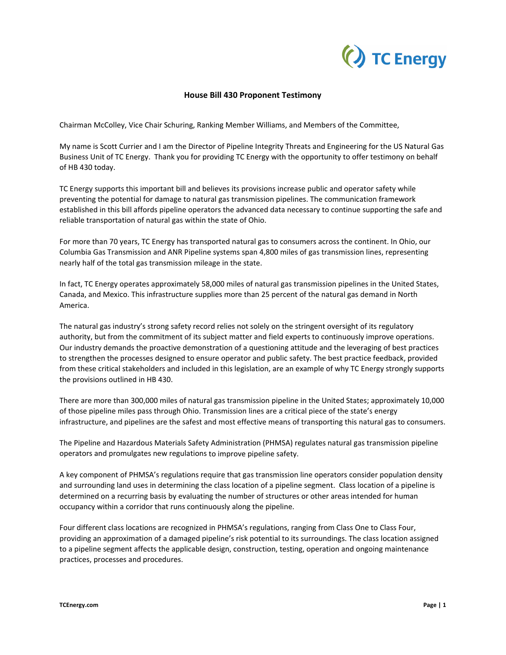

## **House Bill 430 Proponent Testimony**

Chairman McColley, Vice Chair Schuring, Ranking Member Williams, and Members of the Committee,

My name is Scott Currier and I am the Director of Pipeline Integrity Threats and Engineering for the US Natural Gas Business Unit of TC Energy. Thank you for providing TC Energy with the opportunity to offer testimony on behalf of HB 430 today.

TC Energy supports this important bill and believes its provisions increase public and operator safety while preventing the potential for damage to natural gas transmission pipelines. The communication framework established in this bill affords pipeline operators the advanced data necessary to continue supporting the safe and reliable transportation of natural gas within the state of Ohio.

For more than 70 years, TC Energy has transported natural gas to consumers across the continent. In Ohio, our Columbia Gas Transmission and ANR Pipeline systems span 4,800 miles of gas transmission lines, representing nearly half of the total gas transmission mileage in the state.

In fact, TC Energy operates approximately 58,000 miles of natural gas transmission pipelines in the United States, Canada, and Mexico. This infrastructure supplies more than 25 percent of the natural gas demand in North America.

The natural gas industry's strong safety record relies not solely on the stringent oversight of its regulatory authority, but from the commitment of its subject matter and field experts to continuously improve operations. Our industry demands the proactive demonstration of a questioning attitude and the leveraging of best practices to strengthen the processes designed to ensure operator and public safety. The best practice feedback, provided from these critical stakeholders and included in this legislation, are an example of why TC Energy strongly supports the provisions outlined in HB 430.

There are more than 300,000 miles of natural gas transmission pipeline in the United States; approximately 10,000 of those pipeline miles pass through Ohio. Transmission lines are a critical piece of the state's energy infrastructure, and pipelines are the safest and most effective means of transporting this natural gas to consumers.

The Pipeline and Hazardous Materials Safety Administration (PHMSA) regulates natural gas transmission pipeline operators and promulgates new regulations to improve pipeline safety.

A key component of PHMSA's regulations require that gas transmission line operators consider population density and surrounding land uses in determining the class location of a pipeline segment. Class location of a pipeline is determined on a recurring basis by evaluating the number of structures or other areas intended for human occupancy within a corridor that runs continuously along the pipeline.

Four different class locations are recognized in PHMSA's regulations, ranging from Class One to Class Four, providing an approximation of a damaged pipeline's risk potential to its surroundings. The class location assigned to a pipeline segment affects the applicable design, construction, testing, operation and ongoing maintenance practices, processes and procedures.